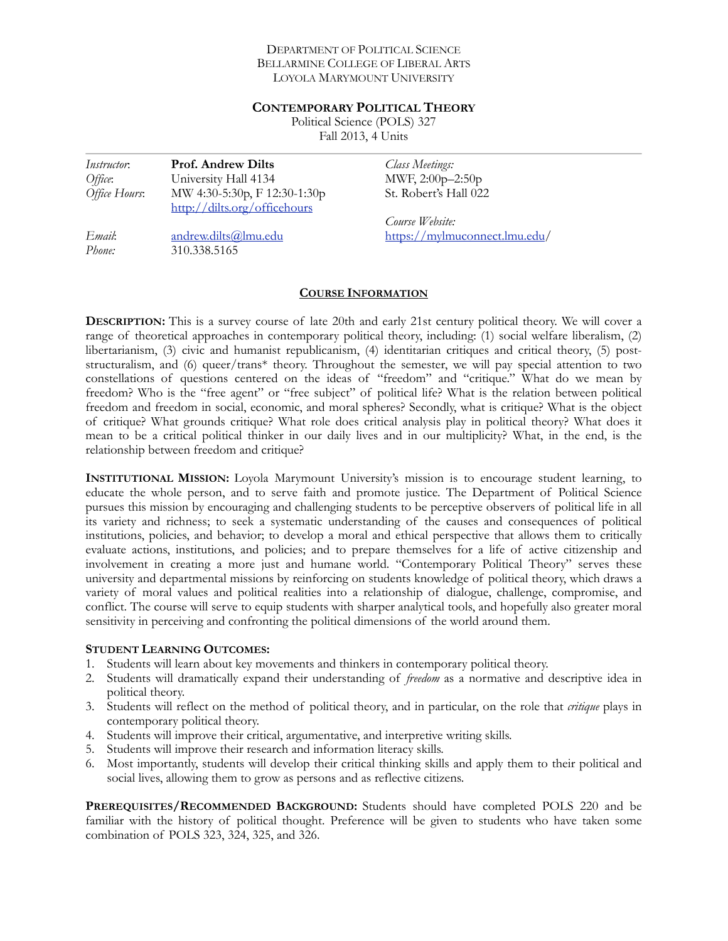#### DEPARTMENT OF POLITICAL SCIENCE BELLARMINE COLLEGE OF LIBERAL ARTS LOYOLA MARYMOUNT UNIVERSITY

#### **CONTEMPORARY POLITICAL THEORY**

Political Science (POLS) 327 Fall 2013, 4 Units

| <i>Instructor</i> . | <b>Prof. Andrew Dilts</b>    | <b>Class Meetings:</b>        |
|---------------------|------------------------------|-------------------------------|
| Office:             | University Hall 4134         | MWF, 2:00p-2:50p              |
| Office Hours:       | MW 4:30-5:30p, F 12:30-1:30p | St. Robert's Hall 022         |
|                     | http://dilts.org/officehours |                               |
|                     |                              | Course Website:               |
| Email:              | andrew.dilts@lmu.edu         | https://mylmuconnect.lmu.edu/ |
| Phone:              | 310.338.5165                 |                               |

### **COURSE INFORMATION**

**DESCRIPTION:** This is a survey course of late 20th and early 21st century political theory. We will cover a range of theoretical approaches in contemporary political theory, including: (1) social welfare liberalism, (2) libertarianism, (3) civic and humanist republicanism, (4) identitarian critiques and critical theory, (5) poststructuralism, and (6) queer/trans\* theory. Throughout the semester, we will pay special attention to two constellations of questions centered on the ideas of "freedom" and "critique." What do we mean by freedom? Who is the "free agent" or "free subject" of political life? What is the relation between political freedom and freedom in social, economic, and moral spheres? Secondly, what is critique? What is the object of critique? What grounds critique? What role does critical analysis play in political theory? What does it mean to be a critical political thinker in our daily lives and in our multiplicity? What, in the end, is the relationship between freedom and critique?

**INSTITUTIONAL MISSION:** Loyola Marymount University's mission is to encourage student learning, to educate the whole person, and to serve faith and promote justice. The Department of Political Science pursues this mission by encouraging and challenging students to be perceptive observers of political life in all its variety and richness; to seek a systematic understanding of the causes and consequences of political institutions, policies, and behavior; to develop a moral and ethical perspective that allows them to critically evaluate actions, institutions, and policies; and to prepare themselves for a life of active citizenship and involvement in creating a more just and humane world. "Contemporary Political Theory" serves these university and departmental missions by reinforcing on students knowledge of political theory, which draws a variety of moral values and political realities into a relationship of dialogue, challenge, compromise, and conflict. The course will serve to equip students with sharper analytical tools, and hopefully also greater moral sensitivity in perceiving and confronting the political dimensions of the world around them.

#### **STUDENT LEARNING OUTCOMES:**

- 1. Students will learn about key movements and thinkers in contemporary political theory.
- 2. Students will dramatically expand their understanding of *freedom* as a normative and descriptive idea in political theory.
- 3. Students will reflect on the method of political theory, and in particular, on the role that *critique* plays in contemporary political theory.
- 4. Students will improve their critical, argumentative, and interpretive writing skills.
- 5. Students will improve their research and information literacy skills.
- 6. Most importantly, students will develop their critical thinking skills and apply them to their political and social lives, allowing them to grow as persons and as reflective citizens.

**PREREQUISITES/RECOMMENDED BACKGROUND:** Students should have completed POLS 220 and be familiar with the history of political thought. Preference will be given to students who have taken some combination of POLS 323, 324, 325, and 326.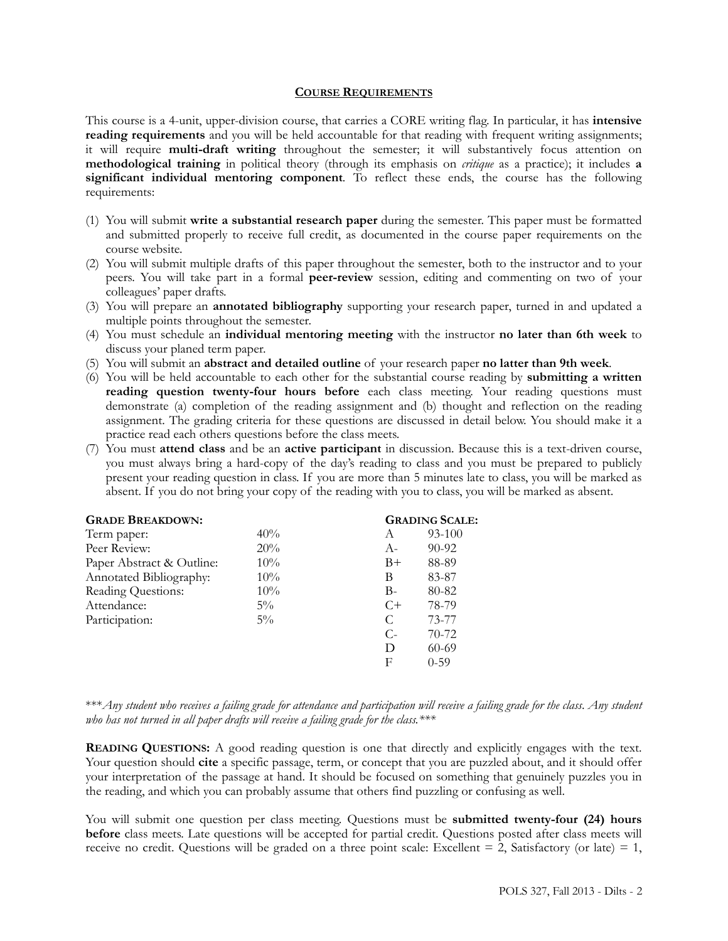#### **COURSE REQUIREMENTS**

This course is a 4-unit, upper-division course, that carries a CORE writing flag. In particular, it has **intensive reading requirements** and you will be held accountable for that reading with frequent writing assignments; it will require **multi-draft writing** throughout the semester; it will substantively focus attention on **methodological training** in political theory (through its emphasis on *critique* as a practice); it includes **a significant individual mentoring component***.* To reflect these ends, the course has the following requirements:

- (1) You will submit **write a substantial research paper** during the semester. This paper must be formatted and submitted properly to receive full credit, as documented in the course paper requirements on the course website.
- (2) You will submit multiple drafts of this paper throughout the semester, both to the instructor and to your peers. You will take part in a formal **peer-review** session, editing and commenting on two of your colleagues' paper drafts.
- (3) You will prepare an **annotated bibliography** supporting your research paper, turned in and updated a multiple points throughout the semester.
- (4) You must schedule an **individual mentoring meeting** with the instructor **no later than 6th week** to discuss your planed term paper.
- (5) You will submit an **abstract and detailed outline** of your research paper **no latter than 9th week**.
- (6) You will be held accountable to each other for the substantial course reading by **submitting a written reading question twenty-four hours before** each class meeting. Your reading questions must demonstrate (a) completion of the reading assignment and (b) thought and reflection on the reading assignment. The grading criteria for these questions are discussed in detail below. You should make it a practice read each others questions before the class meets.
- (7) You must **attend class** and be an **active participant** in discussion. Because this is a text-driven course, you must always bring a hard-copy of the day's reading to class and you must be prepared to publicly present your reading question in class. If you are more than 5 minutes late to class, you will be marked as absent. If you do not bring your copy of the reading with you to class, you will be marked as absent.

|        | <b>GRADING SCALE:</b> |           |
|--------|-----------------------|-----------|
| 40%    | A                     | 93-100    |
| 20%    | $A-$                  | $90 - 92$ |
| $10\%$ | $B+$                  | 88-89     |
| $10\%$ | В                     | 83-87     |
| $10\%$ | $B-$                  | 80-82     |
| $5\%$  | $C+$                  | 78-79     |
| $5\%$  | C                     | 73-77     |
|        | $C$ -                 | $70-72$   |
|        | D                     | $60-69$   |
|        | F                     | $0 - 59$  |
|        |                       |           |

\*\*\**Any student who receives a failing grade for attendance and participation will receive a failing grade for the class*. *Any student who has not turned in all paper drafts will receive a failing grade for the class.\*\*\**

**READING QUESTIONS:** A good reading question is one that directly and explicitly engages with the text. Your question should **cite** a specific passage, term, or concept that you are puzzled about, and it should offer your interpretation of the passage at hand. It should be focused on something that genuinely puzzles you in the reading, and which you can probably assume that others find puzzling or confusing as well.

You will submit one question per class meeting. Questions must be **submitted twenty-four (24) hours before** class meets. Late questions will be accepted for partial credit. Questions posted after class meets will receive no credit. Questions will be graded on a three point scale: Excellent  $= 2$ , Satisfactory (or late)  $= 1$ ,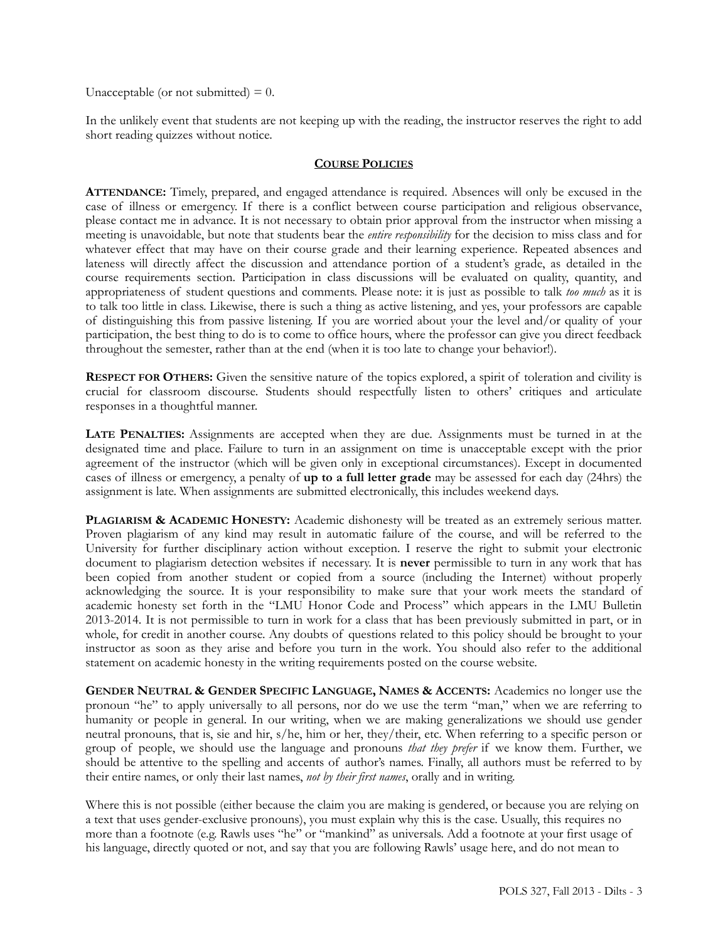Unacceptable (or not submitted)  $= 0$ .

In the unlikely event that students are not keeping up with the reading, the instructor reserves the right to add short reading quizzes without notice.

#### **COURSE POLICIES**

**ATTENDANCE:** Timely, prepared, and engaged attendance is required. Absences will only be excused in the case of illness or emergency. If there is a conflict between course participation and religious observance, please contact me in advance. It is not necessary to obtain prior approval from the instructor when missing a meeting is unavoidable, but note that students bear the *entire responsibility* for the decision to miss class and for whatever effect that may have on their course grade and their learning experience. Repeated absences and lateness will directly affect the discussion and attendance portion of a student's grade, as detailed in the course requirements section. Participation in class discussions will be evaluated on quality, quantity, and appropriateness of student questions and comments. Please note: it is just as possible to talk *too much* as it is to talk too little in class. Likewise, there is such a thing as active listening, and yes, your professors are capable of distinguishing this from passive listening. If you are worried about your the level and/or quality of your participation, the best thing to do is to come to office hours, where the professor can give you direct feedback throughout the semester, rather than at the end (when it is too late to change your behavior!).

**RESPECT FOR OTHERS:** Given the sensitive nature of the topics explored, a spirit of toleration and civility is crucial for classroom discourse. Students should respectfully listen to others' critiques and articulate responses in a thoughtful manner.

**LATE PENALTIES:** Assignments are accepted when they are due. Assignments must be turned in at the designated time and place. Failure to turn in an assignment on time is unacceptable except with the prior agreement of the instructor (which will be given only in exceptional circumstances). Except in documented cases of illness or emergency, a penalty of **up to a full letter grade** may be assessed for each day (24hrs) the assignment is late. When assignments are submitted electronically, this includes weekend days.

**PLAGIARISM & ACADEMIC HONESTY:** Academic dishonesty will be treated as an extremely serious matter. Proven plagiarism of any kind may result in automatic failure of the course, and will be referred to the University for further disciplinary action without exception. I reserve the right to submit your electronic document to plagiarism detection websites if necessary. It is **never** permissible to turn in any work that has been copied from another student or copied from a source (including the Internet) without properly acknowledging the source. It is your responsibility to make sure that your work meets the standard of academic honesty set forth in the "LMU Honor Code and Process" which appears in the LMU Bulletin 2013-2014. It is not permissible to turn in work for a class that has been previously submitted in part, or in whole, for credit in another course. Any doubts of questions related to this policy should be brought to your instructor as soon as they arise and before you turn in the work. You should also refer to the additional statement on academic honesty in the writing requirements posted on the course website.

**GENDER NEUTRAL & GENDER SPECIFIC LANGUAGE, NAMES & ACCENTS:** Academics no longer use the pronoun "he" to apply universally to all persons, nor do we use the term "man," when we are referring to humanity or people in general. In our writing, when we are making generalizations we should use gender neutral pronouns, that is, sie and hir, s/he, him or her, they/their, etc. When referring to a specific person or group of people, we should use the language and pronouns *that they prefer* if we know them. Further, we should be attentive to the spelling and accents of author's names. Finally, all authors must be referred to by their entire names, or only their last names, *not by their first names*, orally and in writing.

Where this is not possible (either because the claim you are making is gendered, or because you are relying on a text that uses gender-exclusive pronouns), you must explain why this is the case. Usually, this requires no more than a footnote (e.g. Rawls uses "he" or "mankind" as universals. Add a footnote at your first usage of his language, directly quoted or not, and say that you are following Rawls' usage here, and do not mean to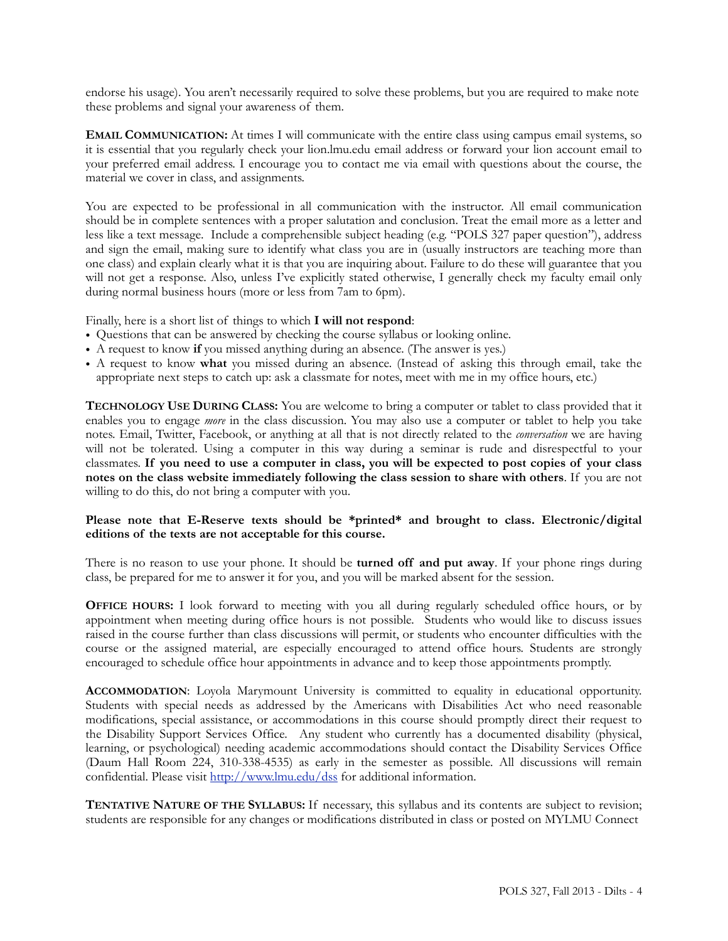endorse his usage). You aren't necessarily required to solve these problems, but you are required to make note these problems and signal your awareness of them.

**EMAIL COMMUNICATION:** At times I will communicate with the entire class using campus email systems, so it is essential that you regularly check your lion.lmu.edu email address or forward your lion account email to your preferred email address. I encourage you to contact me via email with questions about the course, the material we cover in class, and assignments.

You are expected to be professional in all communication with the instructor. All email communication should be in complete sentences with a proper salutation and conclusion. Treat the email more as a letter and less like a text message. Include a comprehensible subject heading (e.g. "POLS 327 paper question"), address and sign the email, making sure to identify what class you are in (usually instructors are teaching more than one class) and explain clearly what it is that you are inquiring about. Failure to do these will guarantee that you will not get a response. Also, unless I've explicitly stated otherwise, I generally check my faculty email only during normal business hours (more or less from 7am to 6pm).

Finally, here is a short list of things to which **I will not respond**:

- Questions that can be answered by checking the course syllabus or looking online.
- A request to know **if** you missed anything during an absence. (The answer is yes.)
- A request to know **what** you missed during an absence. (Instead of asking this through email, take the appropriate next steps to catch up: ask a classmate for notes, meet with me in my office hours, etc.)

**TECHNOLOGY USE DURING CLASS:** You are welcome to bring a computer or tablet to class provided that it enables you to engage *more* in the class discussion. You may also use a computer or tablet to help you take notes. Email, Twitter, Facebook, or anything at all that is not directly related to the *conversation* we are having will not be tolerated. Using a computer in this way during a seminar is rude and disrespectful to your classmates. **If you need to use a computer in class, you will be expected to post copies of your class notes on the class website immediately following the class session to share with others**. If you are not willing to do this, do not bring a computer with you.

### **Please note that E-Reserve texts should be \*printed\* and brought to class. Electronic/digital editions of the texts are not acceptable for this course.**

There is no reason to use your phone. It should be **turned off and put away**. If your phone rings during class, be prepared for me to answer it for you, and you will be marked absent for the session.

**OFFICE HOURS:** I look forward to meeting with you all during regularly scheduled office hours, or by appointment when meeting during office hours is not possible. Students who would like to discuss issues raised in the course further than class discussions will permit, or students who encounter difficulties with the course or the assigned material, are especially encouraged to attend office hours. Students are strongly encouraged to schedule office hour appointments in advance and to keep those appointments promptly.

**ACCOMMODATION**: Loyola Marymount University is committed to equality in educational opportunity. Students with special needs as addressed by the Americans with Disabilities Act who need reasonable modifications, special assistance, or accommodations in this course should promptly direct their request to the Disability Support Services Office. Any student who currently has a documented disability (physical, learning, or psychological) needing academic accommodations should contact the Disability Services Office (Daum Hall Room 224, 310-338-4535) as early in the semester as possible. All discussions will remain confidential. Please visit <http://www.lmu.edu/dss> for additional information.

**TENTATIVE NATURE OF THE SYLLABUS:** If necessary, this syllabus and its contents are subject to revision; students are responsible for any changes or modifications distributed in class or posted on MYLMU Connect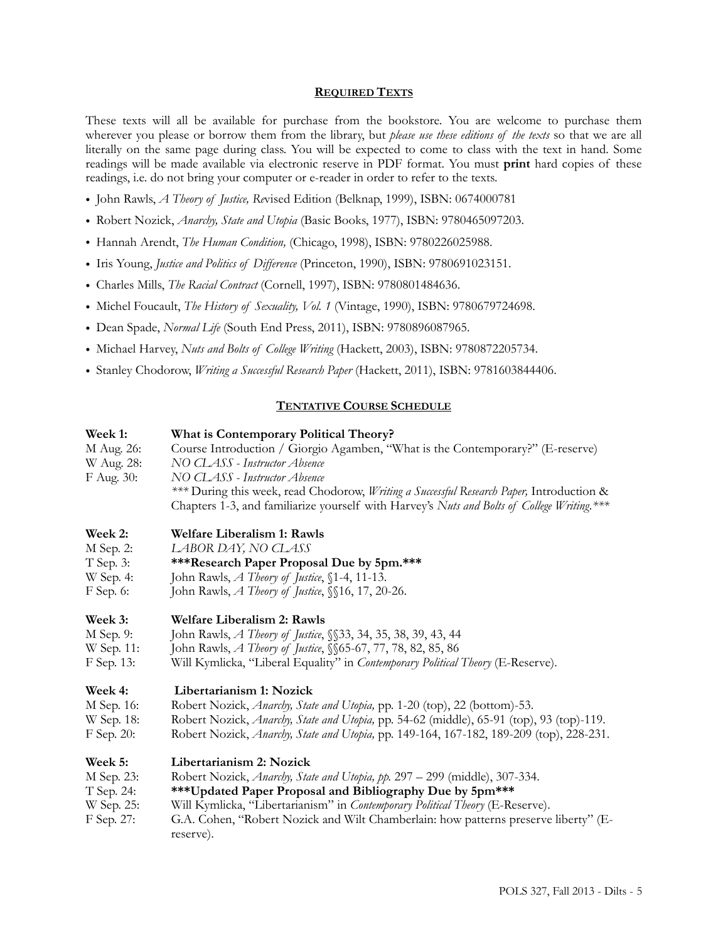#### **REQUIRED TEXTS**

These texts will all be available for purchase from the bookstore. You are welcome to purchase them wherever you please or borrow them from the library, but *please use these editions of the texts* so that we are all literally on the same page during class. You will be expected to come to class with the text in hand. Some readings will be made available via electronic reserve in PDF format. You must **print** hard copies of these readings, i.e. do not bring your computer or e-reader in order to refer to the texts.

- John Rawls, *A Theory of Justice, Re*vised Edition (Belknap, 1999), ISBN: 0674000781
- Robert Nozick, *Anarchy, State and Utopia* (Basic Books, 1977), ISBN: 9780465097203.
- Hannah Arendt, *The Human Condition,* (Chicago, 1998), ISBN: 9780226025988.
- Iris Young, *Justice and Politics of Difference* (Princeton, 1990), ISBN: 9780691023151.
- Charles Mills, *The Racial Contract* (Cornell, 1997), ISBN: 9780801484636.
- Michel Foucault, *The History of Sexuality, Vol. 1* (Vintage, 1990), ISBN: 9780679724698.
- Dean Spade, *Normal Life* (South End Press, 2011), ISBN: 9780896087965.
- Michael Harvey, *Nuts and Bolts of College Writing* (Hackett, 2003), ISBN: 9780872205734.
- Stanley Chodorow, *Writing a Successful Research Paper* (Hackett, 2011), ISBN: 9781603844406.

#### **TENTATIVE COURSE SCHEDULE**

## **Week 1: What is Contemporary Political Theory?**  M Aug. 26: Course Introduction / Giorgio Agamben, "What is the Contemporary?" (E-reserve) W Aug. 28: *NO CLASS - Instructor Absence* F Aug. 30: *NO CLASS - Instructor Absence \*\*\** During this week, read Chodorow, *Writing a Successful Research Paper,* Introduction & Chapters 1-3, and familiarize yourself with Harvey's *Nuts and Bolts of College Writing.\*\*\** **Week 2: Welfare Liberalism 1: Rawls** M Sep. 2: *LABOR DAY, NO CLASS*

- 
- T Sep. 3: **\*\*\*Research Paper Proposal Due by 5pm.\*\*\***
- W Sep. 4: John Rawls, *A Theory of Justice*, §1-4, 11-13.
- F Sep. 6: John Rawls, *A Theory of Justice*, §§16, 17, 20-26.

#### **Week 3: Welfare Liberalism 2: Rawls**

- M Sep. 9: John Rawls, *A Theory of Justice*, §§33, 34, 35, 38, 39, 43, 44
- W Sep. 11: John Rawls, *A Theory of Justice*, §§65-67, 77, 78, 82, 85, 86
- F Sep. 13: Will Kymlicka, "Liberal Equality" in *Contemporary Political Theory* (E-Reserve).

#### **Week 4: Libertarianism 1: Nozick**

- M Sep. 16: Robert Nozick, *Anarchy, State and Utopia,* pp. 1-20 (top), 22 (bottom)-53.
- W Sep. 18: Robert Nozick, *Anarchy, State and Utopia,* pp. 54-62 (middle), 65-91 (top), 93 (top)-119.
- F Sep. 20: Robert Nozick, *Anarchy, State and Utopia,* pp. 149-164, 167-182, 189-209 (top), 228-231.

#### **Week 5: Libertarianism 2: Nozick**

| M Sep. 23: | Robert Nozick, Anarchy, State and Utopia, pp. 297 – 299 (middle), 307-334.          |  |
|------------|-------------------------------------------------------------------------------------|--|
| T Sep. 24: | ***Updated Paper Proposal and Bibliography Due by 5pm***                            |  |
| W Sep. 25: | Will Kymlicka, "Libertarianism" in Contemporary Political Theory (E-Reserve).       |  |
| F Sep. 27: | G.A. Cohen, "Robert Nozick and Wilt Chamberlain: how patterns preserve liberty" (E- |  |
|            | reserve).                                                                           |  |